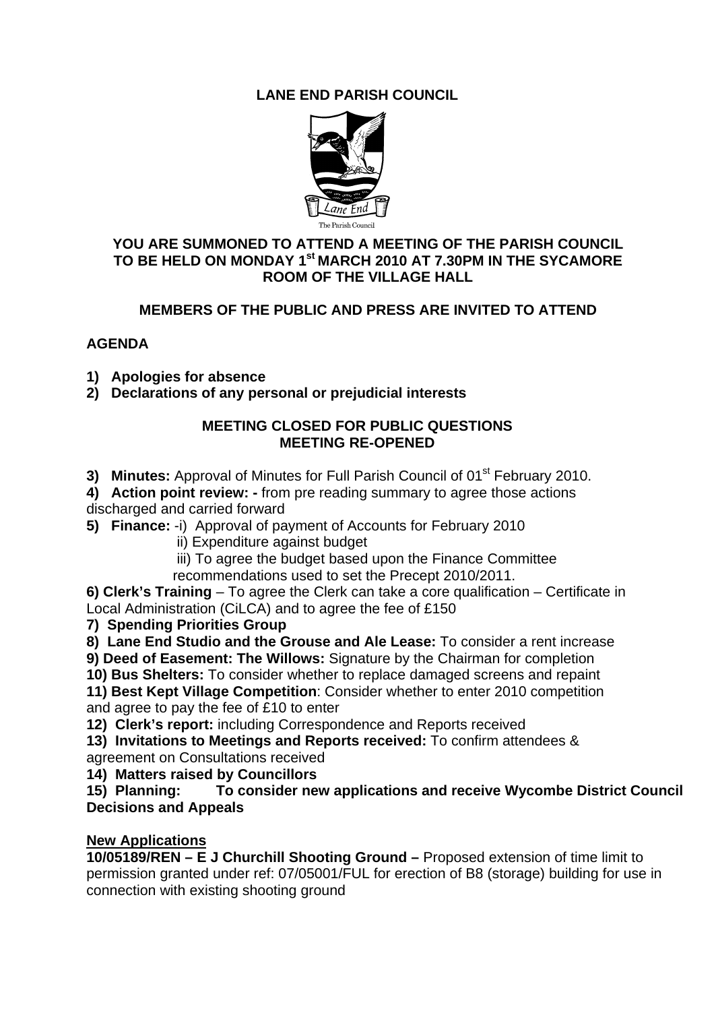# **LANE END PARISH COUNCIL**



#### **YOU ARE SUMMONED TO ATTEND A MEETING OF THE PARISH COUNCIL TO BE HELD ON MONDAY 1st MARCH 2010 AT 7.30PM IN THE SYCAMORE ROOM OF THE VILLAGE HALL**

## **MEMBERS OF THE PUBLIC AND PRESS ARE INVITED TO ATTEND**

### **AGENDA**

- **1) Apologies for absence**
- **2) Declarations of any personal or prejudicial interests**

### **MEETING CLOSED FOR PUBLIC QUESTIONS MEETING RE-OPENED**

- **3) Minutes:** Approval of Minutes for Full Parish Council of 01<sup>st</sup> February 2010.
- **4) Action point review:** from pre reading summary to agree those actions discharged and carried forward
- **5) Finance:** -i) Approval of payment of Accounts for February 2010
	- ii) Expenditure against budget
	- iii) To agree the budget based upon the Finance Committee recommendations used to set the Precept 2010/2011.

**6) Clerk's Training** – To agree the Clerk can take a core qualification – Certificate in Local Administration (CiLCA) and to agree the fee of £150

### **7) Spending Priorities Group**

**8) Lane End Studio and the Grouse and Ale Lease:** To consider a rent increase

**9) Deed of Easement: The Willows:** Signature by the Chairman for completion

**10) Bus Shelters:** To consider whether to replace damaged screens and repaint

**11) Best Kept Village Competition**: Consider whether to enter 2010 competition and agree to pay the fee of £10 to enter

**12) Clerk's report:** including Correspondence and Reports received

**13) Invitations to Meetings and Reports received:** To confirm attendees &

agreement on Consultations received

**14) Matters raised by Councillors** 

**15) Planning: To consider new applications and receive Wycombe District Council Decisions and Appeals** 

#### **New Applications**

**10/05189/REN – E J Churchill Shooting Ground –** Proposed extension of time limit to permission granted under ref: 07/05001/FUL for erection of B8 (storage) building for use in connection with existing shooting ground